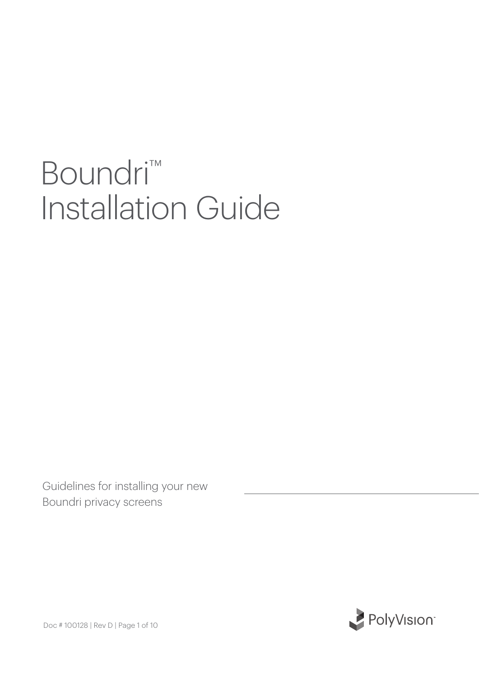# Boundri<sup>™</sup> Installation Guide

Guidelines for installing your new Boundri privacy screens

PolyVision

Doc # 100128 | Rev D | Page 1 of 10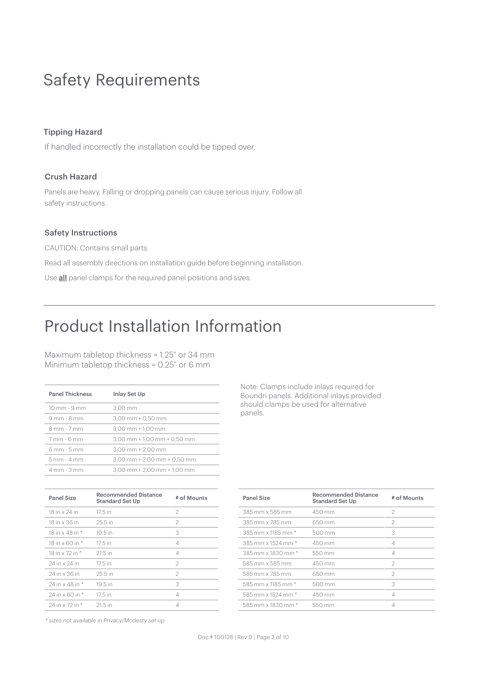# Safety Requirements

### Tipping Hazard

If handled incorrectly the installation could be tipped over.

### Crush Hazard

Panels are heavy. Falling or dropping panels can cause serious injury. Follow all safety instructions.

#### Safety Instructions

CAUTION: Contains small parts. Read all assembly directions on installation guide before beginning installation. Use **all** panel clamps for the required panel positions and sizes.

# Product Installation Information

Maximum tabletop thickness = 1.25" or 34 mm Minimum tabletop thickness = 0.25" or 6 mm

| <b>Panel Thickness</b> | Inlay Set Up                      |
|------------------------|-----------------------------------|
| 10 mm - 9 mm           | 3.00 mm                           |
| $9mm - 8mm$            | $3.00$ mm $\pm$ 0.50 mm           |
| 8 mm - 7 mm            | $3,00$ mm $+ 1,00$ mm             |
| 7 mm - 6 mm            | $3,00$ mm + $1,00$ mm + $0,50$ mm |
| 6 mm - 5 mm            | $3.00$ mm $+ 2.00$ mm             |
| 5 mm - 4 mm            | $3,00$ mm + 2,00 mm + 0,50 mm     |
| 4 mm - 3 mm            | $3,00$ mm + $2,00$ mm + $1,00$ mm |

| <b>Panel Size</b> | <b>Recommended Distance</b><br><b>Standard Set Up</b> | # of Mounts    |
|-------------------|-------------------------------------------------------|----------------|
| 18 in x 24 in     | 17.5 in                                               | 2              |
| 18 in x 36 in     | 25.5 in                                               | $\mathfrak{D}$ |
| 18 in x 48 in *   | $19.5$ in                                             | 3              |
| 18 in x 60 in *   | 17.5 in                                               | 4              |
| 18 in x 72 in *   | 21.5 in                                               | 4              |
| 24 in x 24 in     | 17.5 in                                               | 2              |
| 24 in x 36 in     | 25.5 in                                               | 2              |
| 24 in x 48 in *   | 19.5 in                                               | 3              |
| 24 in x 60 in *   | 17.5 in                                               | 4              |
| 24 in x 72 in *   | $21.5$ in                                             | 4              |

Note: Clamps include inlays required for Boundri panels. Additional inlays provided should clamps be used for alternative panels.

| Panel Size         | <b>Recommended Distance</b><br><b>Standard Set Up</b> | # of Mounts    |
|--------------------|-------------------------------------------------------|----------------|
| 385 mm x 585 mm    | $450 \text{ mm}$                                      | 2              |
| 385 mm x 785 mm    | 650 mm                                                | 2              |
| 385 mm x 1185 mm * | 500 mm                                                | 3              |
| 385 mm x 1524 mm * | 450 mm                                                | $\varDelta$    |
| 385 mm x 1830 mm * | 550 mm                                                | $\varDelta$    |
| 585 mm x 585 mm    | 450 mm                                                | $\mathfrak{D}$ |
| 585 mm x 785 mm    | 650 mm                                                | 2              |
| 585 mm x 1185 mm * | 500 mm                                                | 3              |
| 585 mm x 1524 mm * | 450 mm                                                | $\varDelta$    |
| 585 mm x 1830 mm * | 550 mm                                                |                |

*\* sizes not available in Privacy/Modesty set up*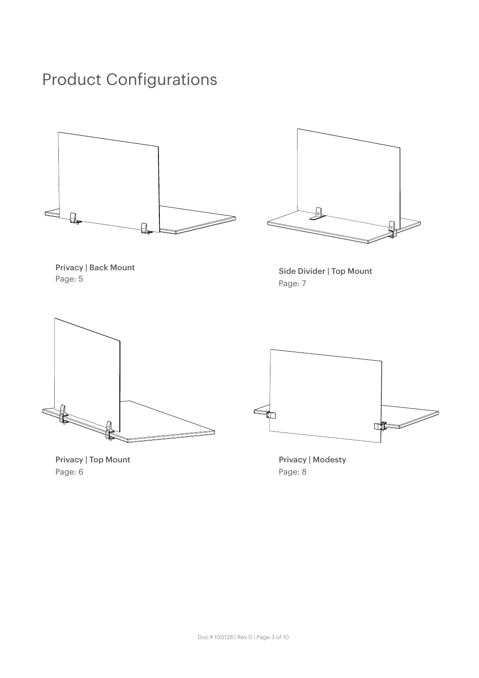# Product Configurations





Privacy | Back Mount Page: 5

Side Divider | Top Mount Page: 7





Privacy | Modesty Page: 8

Privacy | Top Mount Page: 6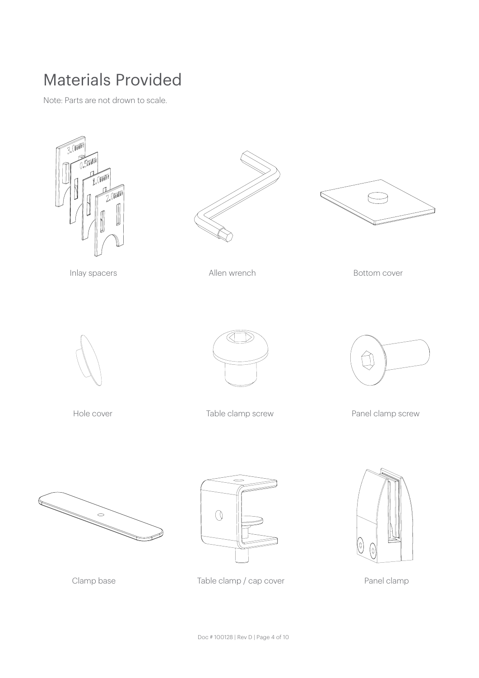# Materials Provided

Note: Parts are not drown to scale.







Inlay spacers **Allen wrench Bottom cover Bottom cover** 





Hole cover Table clamp screw Panel clamp screw







Clamp base Table clamp / cap cover Panel clamp

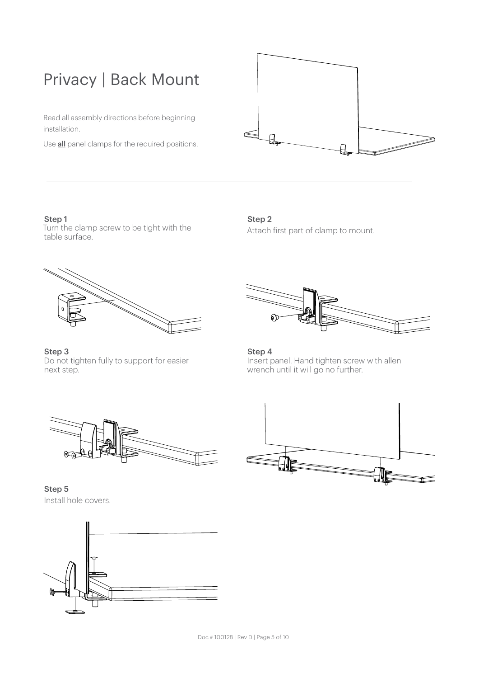# Privacy | Back Mount

Read all assembly directions before beginning installation.

Use **all** panel clamps for the required positions.



Step 1 Turn the clamp screw to be tight with the table surface.

Step 2 Attach first part of clamp to mount.



Step 3 Do not tighten fully to support for easier next step.



Step 4 Insert panel. Hand tighten screw with allen wrench until it will go no further.



Step 5 Install hole covers.



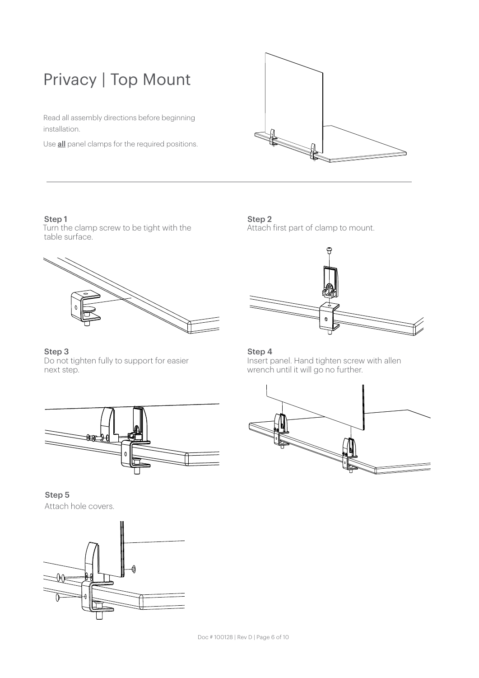# Privacy | Top Mount

Read all assembly directions before beginning installation.

Use **all** panel clamps for the required positions.



Step 1 Turn the clamp screw to be tight with the table surface.



Step 3 Do not tighten fully to support for easier next step.



Step 5 Attach hole covers.



Step 2 Attach first part of clamp to mount.



## Step 4

Insert panel. Hand tighten screw with allen wrench until it will go no further.

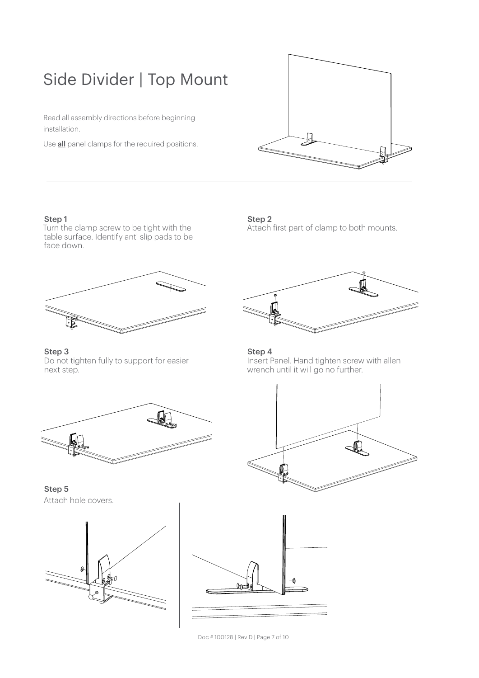# Side Divider | Top Mount

Read all assembly directions before beginning installation.

Use **all** panel clamps for the required positions.



## Step 1

Turn the clamp screw to be tight with the table surface. Identify anti slip pads to be face down.



Step 3 Do not tighten fully to support for easier next step.



Step 5 Attach hole covers.





Doc # 100128 | Rev D | Page 7 of 10

# Step 2 Attach first part of clamp to both mounts.



#### Step 4 Insert Panel. Hand tighten screw with allen wrench until it will go no further.

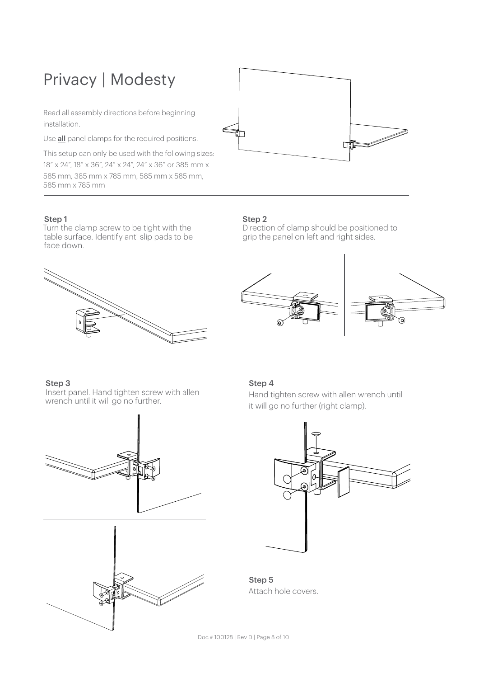# Privacy | Modesty

Read all assembly directions before beginning installation.

Use **all** panel clamps for the required positions.

This setup can only be used with the following sizes: 18" x 24", 18" x 36", 24" x 24", 24" x 36" or 385 mm x 585 mm, 385 mm x 785 mm, 585 mm x 585 mm, 585 mm x 785 mm

# Step 1

Turn the clamp screw to be tight with the table surface. Identify anti slip pads to be face down.



# Step 2

Direction of clamp should be positioned to grip the panel on left and right sides.



ui

 $\overrightarrow{p}$ 

# Step 3

Insert panel. Hand tighten screw with allen wrench until it will go no further.





# Step 4

Hand tighten screw with allen wrench until it will go no further (right clamp).



Step 5 Attach hole covers.

Doc # 100128 | Rev D | Page 8 of 10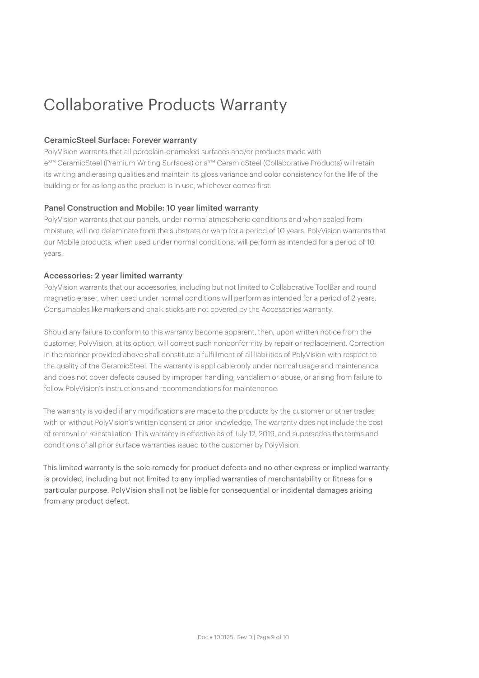# Collaborative Products Warranty

## CeramicSteel Surface: Forever warranty

PolyVision warrants that all porcelain-enameled surfaces and/or products made with e3™ CeramicSteel (Premium Writing Surfaces) or a3™ CeramicSteel (Collaborative Products) will retain its writing and erasing qualities and maintain its gloss variance and color consistency for the life of the building or for as long as the product is in use, whichever comes first.

## Panel Construction and Mobile: 10 year limited warranty

PolyVision warrants that our panels, under normal atmospheric conditions and when sealed from moisture, will not delaminate from the substrate or warp for a period of 10 years. PolyVision warrants that our Mobile products, when used under normal conditions, will perform as intended for a period of 10 years.

## Accessories: 2 year limited warranty

PolyVision warrants that our accessories, including but not limited to Collaborative ToolBar and round magnetic eraser, when used under normal conditions will perform as intended for a period of 2 years. Consumables like markers and chalk sticks are not covered by the Accessories warranty.

Should any failure to conform to this warranty become apparent, then, upon written notice from the customer, PolyVision, at its option, will correct such nonconformity by repair or replacement. Correction in the manner provided above shall constitute a fulfillment of all liabilities of PolyVision with respect to the quality of the CeramicSteel. The warranty is applicable only under normal usage and maintenance and does not cover defects caused by improper handling, vandalism or abuse, or arising from failure to follow PolyVision's instructions and recommendations for maintenance.

The warranty is voided if any modifications are made to the products by the customer or other trades with or without PolyVision's written consent or prior knowledge. The warranty does not include the cost of removal or reinstallation. This warranty is effective as of July 12, 2019, and supersedes the terms and conditions of all prior surface warranties issued to the customer by PolyVision.

This limited warranty is the sole remedy for product defects and no other express or implied warranty is provided, including but not limited to any implied warranties of merchantability or fitness for a particular purpose. PolyVision shall not be liable for consequential or incidental damages arising from any product defect.